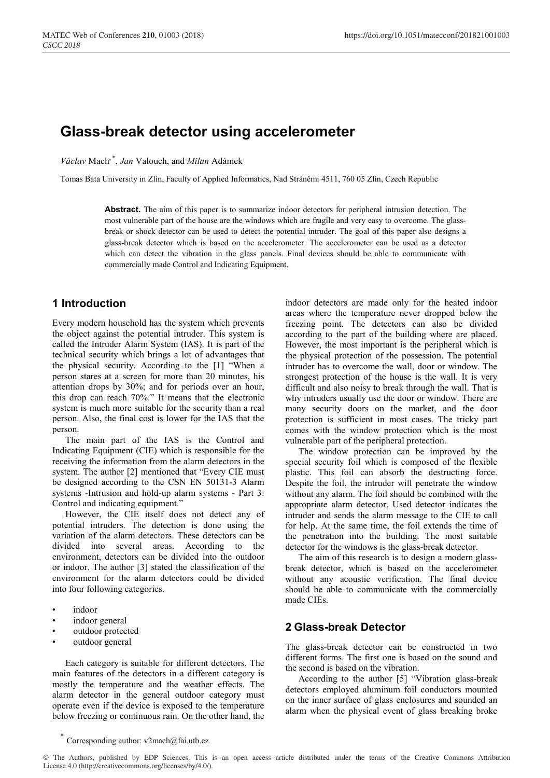# **Glass-break detector using accelerometer**

*Václav* Mach, \* , *Jan* Valouch, and *Milan* Adámek

Tomas Bata University in Zlín, Faculty of Applied Informatics, Nad Stráněmi 4511, 760 05 Zlín, Czech Republic

**Abstract.** The aim of this paper is to summarize indoor detectors for peripheral intrusion detection. The most vulnerable part of the house are the windows which are fragile and very easy to overcome. The glassbreak or shock detector can be used to detect the potential intruder. The goal of this paper also designs a glass-break detector which is based on the accelerometer. The accelerometer can be used as a detector which can detect the vibration in the glass panels. Final devices should be able to communicate with commercially made Control and Indicating Equipment.

### **1 Introduction**

Every modern household has the system which prevents the object against the potential intruder. This system is called the Intruder Alarm System (IAS). It is part of the technical security which brings a lot of advantages that the physical security. According to the [1] "When a person stares at a screen for more than 20 minutes, his attention drops by 30%; and for periods over an hour, this drop can reach 70%." It means that the electronic system is much more suitable for the security than a real person. Also, the final cost is lower for the IAS that the person.

The main part of the IAS is the Control and Indicating Equipment (CIE) which is responsible for the receiving the information from the alarm detectors in the system. The author [2] mentioned that "Every CIE must be designed according to the CSN EN 50131-3 Alarm systems -Intrusion and hold-up alarm systems - Part 3: Control and indicating equipment."

However, the CIE itself does not detect any of potential intruders. The detection is done using the variation of the alarm detectors. These detectors can be divided into several areas. According to the environment, detectors can be divided into the outdoor or indoor. The author [3] stated the classification of the environment for the alarm detectors could be divided into four following categories.

- indoor
- indoor general
- outdoor protected
- outdoor general

Each category is suitable for different detectors. The main features of the detectors in a different category is mostly the temperature and the weather effects. The alarm detector in the general outdoor category must operate even if the device is exposed to the temperature below freezing or continuous rain. On the other hand, the

indoor detectors are made only for the heated indoor areas where the temperature never dropped below the freezing point. The detectors can also be divided according to the part of the building where are placed. However, the most important is the peripheral which is the physical protection of the possession. The potential intruder has to overcome the wall, door or window. The strongest protection of the house is the wall. It is very difficult and also noisy to break through the wall. That is why intruders usually use the door or window. There are many security doors on the market, and the door protection is sufficient in most cases. The tricky part comes with the window protection which is the most vulnerable part of the peripheral protection.

The window protection can be improved by the special security foil which is composed of the flexible plastic. This foil can absorb the destructing force. Despite the foil, the intruder will penetrate the window without any alarm. The foil should be combined with the appropriate alarm detector. Used detector indicates the intruder and sends the alarm message to the CIE to call for help. At the same time, the foil extends the time of the penetration into the building. The most suitable detector for the windows is the glass-break detector.

The aim of this research is to design a modern glassbreak detector, which is based on the accelerometer without any acoustic verification. The final device should be able to communicate with the commercially made CIEs.

### **2 Glass-break Detector**

The glass-break detector can be constructed in two different forms. The first one is based on the sound and the second is based on the vibration.

According to the author [5] "Vibration glass-break detectors employed aluminum foil conductors mounted on the inner surface of glass enclosures and sounded an alarm when the physical event of glass breaking broke

© The Authors, published by EDP Sciences. This is an open access article distributed under the terms of the Creative Commons Attribution License 4.0 (http://creativecommons.org/licenses/by/4.0/).

<sup>\*</sup> Corresponding author: v2mach@fai.utb.cz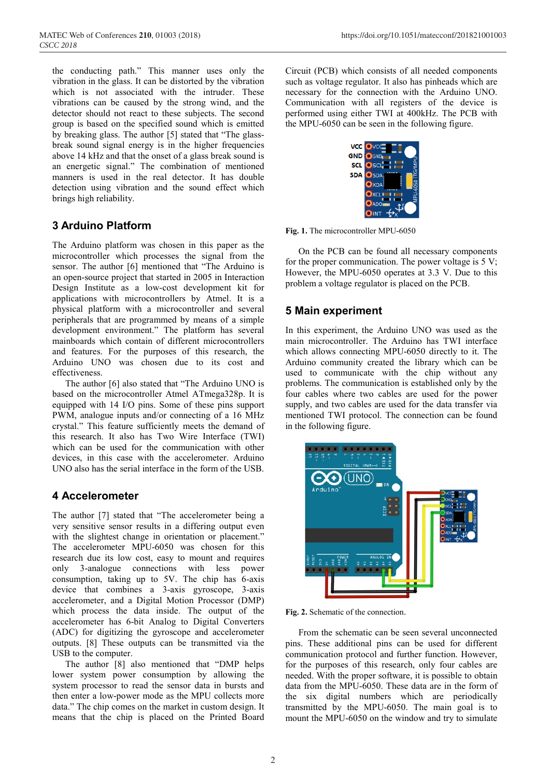the conducting path." This manner uses only the vibration in the glass. It can be distorted by the vibration which is not associated with the intruder. These vibrations can be caused by the strong wind, and the detector should not react to these subjects. The second group is based on the specified sound which is emitted by breaking glass. The author [5] stated that "The glassbreak sound signal energy is in the higher frequencies above 14 kHz and that the onset of a glass break sound is an energetic signal." The combination of mentioned manners is used in the real detector. It has double detection using vibration and the sound effect which brings high reliability.

## **3 Arduino Platform**

The Arduino platform was chosen in this paper as the microcontroller which processes the signal from the sensor. The author [6] mentioned that "The Arduino is an open-source project that started in 2005 in Interaction Design Institute as a low-cost development kit for applications with microcontrollers by Atmel. It is a physical platform with a microcontroller and several peripherals that are programmed by means of a simple development environment." The platform has several mainboards which contain of different microcontrollers and features. For the purposes of this research, the Arduino UNO was chosen due to its cost and effectiveness.

The author [6] also stated that "The Arduino UNO is based on the microcontroller Atmel ATmega328p. It is equipped with 14 I/O pins. Some of these pins support PWM, analogue inputs and/or connecting of a 16 MHz crystal." This feature sufficiently meets the demand of this research. It also has Two Wire Interface (TWI) which can be used for the communication with other devices, in this case with the accelerometer. Arduino UNO also has the serial interface in the form of the USB.

### **4 Accelerometer**

The author [7] stated that "The accelerometer being a very sensitive sensor results in a differing output even with the slightest change in orientation or placement." The accelerometer MPU-6050 was chosen for this research due its low cost, easy to mount and requires only 3-analogue connections with less power consumption, taking up to 5V. The chip has 6-axis device that combines a 3-axis gyroscope, 3-axis accelerometer, and a Digital Motion Processor (DMP) which process the data inside. The output of the accelerometer has 6-bit Analog to Digital Converters (ADC) for digitizing the gyroscope and accelerometer outputs. [8] These outputs can be transmitted via the USB to the computer.

The author [8] also mentioned that "DMP helps lower system power consumption by allowing the system processor to read the sensor data in bursts and then enter a low-power mode as the MPU collects more data." The chip comes on the market in custom design. It means that the chip is placed on the Printed Board Circuit (PCB) which consists of all needed components such as voltage regulator. It also has pinheads which are necessary for the connection with the Arduino UNO. Communication with all registers of the device is performed using either TWI at 400kHz. The PCB with the MPU-6050 can be seen in the following figure.



**Fig. 1.** The microcontroller MPU-6050

On the PCB can be found all necessary components for the proper communication. The power voltage is  $5 V$ ; However, the MPU-6050 operates at 3.3 V. Due to this problem a voltage regulator is placed on the PCB.

## **5 Main experiment**

In this experiment, the Arduino UNO was used as the main microcontroller. The Arduino has TWI interface which allows connecting MPU-6050 directly to it. The Arduino community created the library which can be used to communicate with the chip without any problems. The communication is established only by the four cables where two cables are used for the power supply, and two cables are used for the data transfer via mentioned TWI protocol. The connection can be found in the following figure.



**Fig. 2.** Schematic of the connection.

From the schematic can be seen several unconnected pins. These additional pins can be used for different communication protocol and further function. However, for the purposes of this research, only four cables are needed. With the proper software, it is possible to obtain data from the MPU-6050. These data are in the form of the six digital numbers which are periodically transmitted by the MPU-6050. The main goal is to mount the MPU-6050 on the window and try to simulate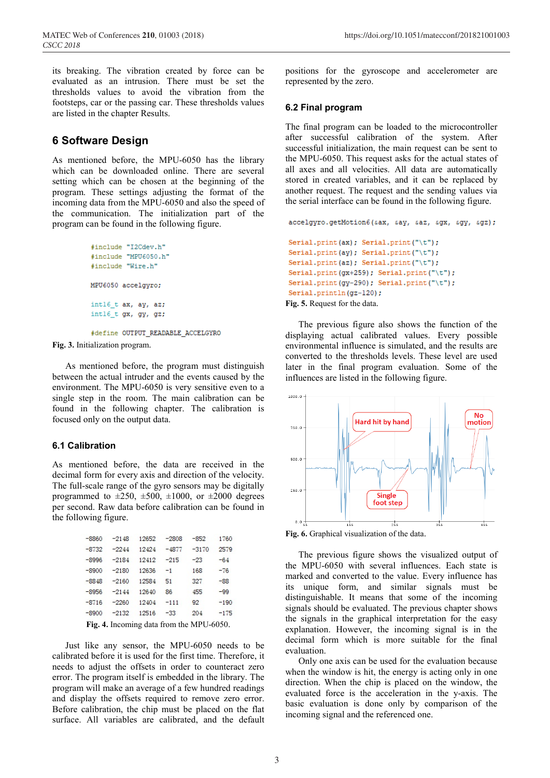its breaking. The vibration created by force can be evaluated as an intrusion. There must be set the thresholds values to avoid the vibration from the footsteps, car or the passing car. These thresholds values are listed in the chapter Results.

#### **6 Software Design**

As mentioned before, the MPU-6050 has the library which can be downloaded online. There are several setting which can be chosen at the beginning of the program. These settings adjusting the format of the incoming data from the MPU-6050 and also the speed of the communication. The initialization part of the program can be found in the following figure.

```
#include "I2Cdev.h"
#include "MPU6050.h"
#include "Wire.h"
MPU6050 accelgyro;
intl6_t ax, ay, az;
intl6 t gx, gy, gz;
#define OUTPUT READABLE ACCELGYRO
```
**Fig. 3.** Initialization program.

As mentioned before, the program must distinguish between the actual intruder and the events caused by the environment. The MPU-6050 is very sensitive even to a single step in the room. The main calibration can be found in the following chapter. The calibration is focused only on the output data.

#### **6.1 Calibration**

As mentioned before, the data are received in the decimal form for every axis and direction of the velocity. The full-scale range of the gyro sensors may be digitally programmed to  $\pm 250$ ,  $\pm 500$ ,  $\pm 1000$ , or  $\pm 2000$  degrees per second. Raw data before calibration can be found in the following figure.

| $-8860$ | $-2148$ | 12652 | $-2808$ | $-852$  | 1760   |
|---------|---------|-------|---------|---------|--------|
| $-8732$ | $-2244$ | 12424 | $-4877$ | $-3170$ | 2579   |
| $-8996$ | $-2184$ | 12412 | $-215$  | $-23$   | $-64$  |
| $-8900$ | $-2180$ | 12636 | $-1$    | 168     | $-76$  |
| $-8848$ | $-2160$ | 12584 | 51      | 327     | $-88$  |
| $-8956$ | $-2144$ | 12640 | 86      | 455     | $-99$  |
| $-8716$ | $-2260$ | 12404 | $-111$  | 92      | $-190$ |
| $-8900$ | $-2132$ | 12516 | $-33$   | 204     | $-175$ |
|         |         |       |         |         |        |

**Fig. 4.** Incoming data from the MPU-6050.

Just like any sensor, the MPU-6050 needs to be calibrated before it is used for the first time. Therefore, it needs to adjust the offsets in order to counteract zero error. The program itself is embedded in the library. The program will make an average of a few hundred readings and display the offsets required to remove zero error. Before calibration, the chip must be placed on the flat surface. All variables are calibrated, and the default

positions for the gyroscope and accelerometer are represented by the zero.

#### **6.2 Final program**

The final program can be loaded to the microcontroller after successful calibration of the system. After successful initialization, the main request can be sent to the MPU-6050. This request asks for the actual states of all axes and all velocities. All data are automatically stored in created variables, and it can be replaced by another request. The request and the sending values via the serial interface can be found in the following figure.

```
accelgyro.getMotion6(sax, say, saz, sgx, sgy, sgz);
```

```
Serial.print(ax); Serial.print("\t");
Serial.print(av): Serial.print("\t"):
Serial.print(az): Serial.print("\t");
Serial.print(qx+259); Serial.print("\t");
Serial.print(gy-290); Serial.print("\t");
Serial.println(qz-120);
Fig. 5. Request for the data.
```
The previous figure also shows the function of the displaying actual calibrated values. Every possible environmental influence is simulated, and the results are converted to the thresholds levels. These level are used later in the final program evaluation. Some of the influences are listed in the following figure.



**Fig. 6.** Graphical visualization of the data.

The previous figure shows the visualized output of the MPU-6050 with several influences. Each state is marked and converted to the value. Every influence has its unique form, and similar signals must be distinguishable. It means that some of the incoming signals should be evaluated. The previous chapter shows the signals in the graphical interpretation for the easy explanation. However, the incoming signal is in the decimal form which is more suitable for the final evaluation.

Only one axis can be used for the evaluation because when the window is hit, the energy is acting only in one direction. When the chip is placed on the window, the evaluated force is the acceleration in the y-axis. The basic evaluation is done only by comparison of the incoming signal and the referenced one.